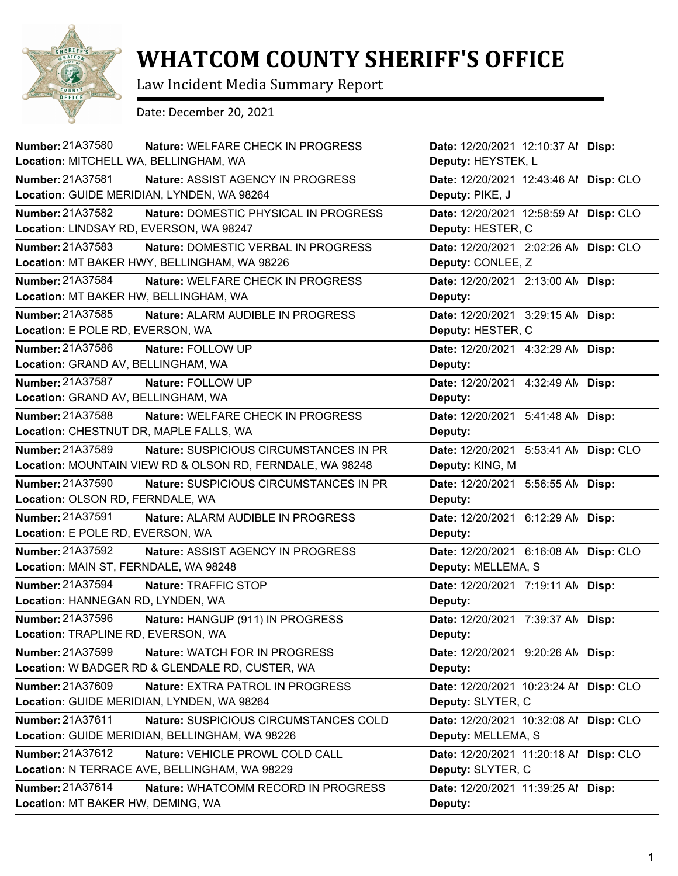

## **WHATCOM COUNTY SHERIFF'S OFFICE**

Law Incident Media Summary Report

Date: December 20, 2021

| Number: 21A37580<br>Nature: WELFARE CHECK IN PROGRESS<br>Location: MITCHELL WA, BELLINGHAM, WA                                 | Date: 12/20/2021 12:10:37 Al Disp:<br>Deputy: HEYSTEK, L     |
|--------------------------------------------------------------------------------------------------------------------------------|--------------------------------------------------------------|
| Number: 21A37581<br>Nature: ASSIST AGENCY IN PROGRESS<br>Location: GUIDE MERIDIAN, LYNDEN, WA 98264                            | Date: 12/20/2021 12:43:46 Al Disp: CLO<br>Deputy: PIKE, J    |
| Number: 21A37582<br>Nature: DOMESTIC PHYSICAL IN PROGRESS<br>Location: LINDSAY RD, EVERSON, WA 98247                           | Date: 12/20/2021 12:58:59 Al Disp: CLO<br>Deputy: HESTER, C  |
| Number: 21A37583<br>Nature: DOMESTIC VERBAL IN PROGRESS<br>Location: MT BAKER HWY, BELLINGHAM, WA 98226                        | Date: 12/20/2021 2:02:26 AN Disp: CLO<br>Deputy: CONLEE, Z   |
| Number: 21A37584<br>Nature: WELFARE CHECK IN PROGRESS<br>Location: MT BAKER HW, BELLINGHAM, WA                                 | Date: 12/20/2021 2:13:00 AN Disp:<br>Deputy:                 |
| Number: 21A37585<br>Nature: ALARM AUDIBLE IN PROGRESS<br>Location: E POLE RD, EVERSON, WA                                      | Date: 12/20/2021 3:29:15 AN Disp:<br>Deputy: HESTER, C       |
| Number: 21A37586<br>Nature: FOLLOW UP<br>Location: GRAND AV, BELLINGHAM, WA                                                    | Date: 12/20/2021 4:32:29 AN Disp:<br>Deputy:                 |
| Number: 21A37587<br>Nature: FOLLOW UP<br>Location: GRAND AV, BELLINGHAM, WA                                                    | Date: 12/20/2021 4:32:49 AM Disp:<br>Deputy:                 |
| Number: 21A37588<br><b>Nature: WELFARE CHECK IN PROGRESS</b><br>Location: CHESTNUT DR, MAPLE FALLS, WA                         | Date: 12/20/2021 5:41:48 AN Disp:<br>Deputy:                 |
| Number: 21A37589<br><b>Nature: SUSPICIOUS CIRCUMSTANCES IN PR</b><br>Location: MOUNTAIN VIEW RD & OLSON RD, FERNDALE, WA 98248 | Date: 12/20/2021 5:53:41 AN Disp: CLO<br>Deputy: KING, M     |
| Number: 21A37590<br>Nature: SUSPICIOUS CIRCUMSTANCES IN PR<br>Location: OLSON RD, FERNDALE, WA                                 | Date: 12/20/2021 5:56:55 AN Disp:<br>Deputy:                 |
| Number: 21A37591<br>Nature: ALARM AUDIBLE IN PROGRESS<br>Location: E POLE RD, EVERSON, WA                                      | Date: 12/20/2021 6:12:29 AN Disp:<br>Deputy:                 |
| Number: 21A37592<br>Nature: ASSIST AGENCY IN PROGRESS<br>Location: MAIN ST, FERNDALE, WA 98248                                 | Date: 12/20/2021 6:16:08 AN Disp: CLO<br>Deputy: MELLEMA, S  |
| Number: 21A37594<br>Nature: TRAFFIC STOP<br>Location: HANNEGAN RD, LYNDEN, WA                                                  | Date: 12/20/2021 7:19:11 AN Disp:<br>Deputy:                 |
| Number: 21A37596<br>Nature: HANGUP (911) IN PROGRESS<br>Location: TRAPLINE RD, EVERSON, WA                                     | Date: 12/20/2021 7:39:37 AN Disp:<br>Deputy:                 |
| Number: 21A37599<br>Nature: WATCH FOR IN PROGRESS<br>Location: W BADGER RD & GLENDALE RD, CUSTER, WA                           | Date: 12/20/2021 9:20:26 AM Disp:<br>Deputy:                 |
| Number: 21A37609<br>Nature: EXTRA PATROL IN PROGRESS<br>Location: GUIDE MERIDIAN, LYNDEN, WA 98264                             | Date: 12/20/2021 10:23:24 Al Disp: CLO<br>Deputy: SLYTER, C  |
| Number: 21A37611<br>Nature: SUSPICIOUS CIRCUMSTANCES COLD<br>Location: GUIDE MERIDIAN, BELLINGHAM, WA 98226                    | Date: 12/20/2021 10:32:08 Al Disp: CLO<br>Deputy: MELLEMA, S |
| Number: 21A37612<br>Nature: VEHICLE PROWL COLD CALL<br>Location: N TERRACE AVE, BELLINGHAM, WA 98229                           | Date: 12/20/2021 11:20:18 Al Disp: CLO<br>Deputy: SLYTER, C  |
| Number: 21A37614<br>Nature: WHATCOMM RECORD IN PROGRESS<br>Location: MT BAKER HW, DEMING, WA                                   | Date: 12/20/2021 11:39:25 Al Disp:<br>Deputy:                |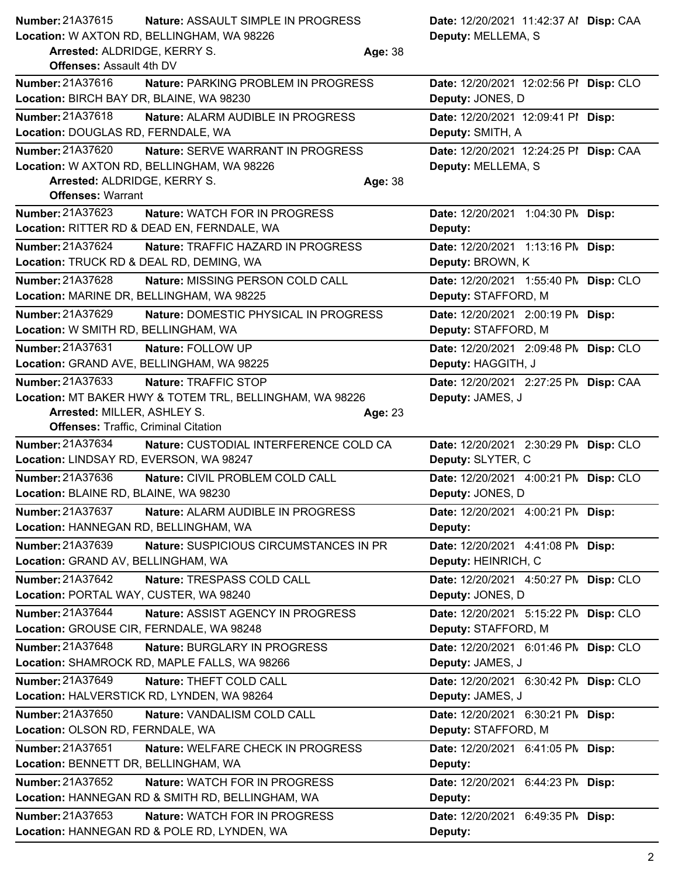| <b>Number: 21A37615</b><br>Nature: ASSAULT SIMPLE IN PROGRESS<br>Location: W AXTON RD, BELLINGHAM, WA 98226<br>Arrested: ALDRIDGE, KERRY S.<br><b>Offenses: Assault 4th DV</b> | Date: 12/20/2021 11:42:37 Al Disp: CAA<br>Deputy: MELLEMA, S<br>Age: 38 |
|--------------------------------------------------------------------------------------------------------------------------------------------------------------------------------|-------------------------------------------------------------------------|
| <b>Number: 21A37616</b><br>Nature: PARKING PROBLEM IN PROGRESS<br>Location: BIRCH BAY DR, BLAINE, WA 98230                                                                     | Date: 12/20/2021 12:02:56 PI Disp: CLO<br>Deputy: JONES, D              |
| Number: 21A37618<br>Nature: ALARM AUDIBLE IN PROGRESS<br>Location: DOUGLAS RD, FERNDALE, WA                                                                                    | Date: 12/20/2021 12:09:41 PI Disp:<br>Deputy: SMITH, A                  |
| Number: 21A37620<br>Nature: SERVE WARRANT IN PROGRESS<br>Location: W AXTON RD, BELLINGHAM, WA 98226<br>Arrested: ALDRIDGE, KERRY S.                                            | Date: 12/20/2021 12:24:25 PI Disp: CAA<br>Deputy: MELLEMA, S<br>Age: 38 |
| <b>Offenses: Warrant</b>                                                                                                                                                       |                                                                         |
| Number: 21A37623<br>Nature: WATCH FOR IN PROGRESS                                                                                                                              | Date: 12/20/2021 1:04:30 PM Disp:                                       |
| Location: RITTER RD & DEAD EN, FERNDALE, WA                                                                                                                                    | Deputy:                                                                 |
| Number: 21A37624<br>Nature: TRAFFIC HAZARD IN PROGRESS                                                                                                                         | Date: 12/20/2021 1:13:16 PM Disp:                                       |
| Location: TRUCK RD & DEAL RD, DEMING, WA                                                                                                                                       | Deputy: BROWN, K                                                        |
| <b>Number: 21A37628</b><br>Nature: MISSING PERSON COLD CALL                                                                                                                    | Date: 12/20/2021 1:55:40 PM Disp: CLO                                   |
| Location: MARINE DR, BELLINGHAM, WA 98225                                                                                                                                      | Deputy: STAFFORD, M                                                     |
| Number: 21A37629<br>Nature: DOMESTIC PHYSICAL IN PROGRESS                                                                                                                      | Date: 12/20/2021 2:00:19 PM Disp:                                       |
| Location: W SMITH RD, BELLINGHAM, WA                                                                                                                                           | Deputy: STAFFORD, M                                                     |
| Number: 21A37631<br>Nature: FOLLOW UP                                                                                                                                          | Date: 12/20/2021 2:09:48 PM Disp: CLO                                   |
| Location: GRAND AVE, BELLINGHAM, WA 98225                                                                                                                                      | Deputy: HAGGITH, J                                                      |
| <b>Number: 21A37633</b><br>Nature: TRAFFIC STOP                                                                                                                                | Date: 12/20/2021 2:27:25 PN Disp: CAA                                   |
| Location: MT BAKER HWY & TOTEM TRL, BELLINGHAM, WA 98226                                                                                                                       | Deputy: JAMES, J                                                        |
| Arrested: MILLER, ASHLEY S.                                                                                                                                                    | Age: 23                                                                 |
| <b>Offenses: Traffic, Criminal Citation</b>                                                                                                                                    |                                                                         |
| Number: 21A37634<br>Nature: CUSTODIAL INTERFERENCE COLD CA<br>Location: LINDSAY RD, EVERSON, WA 98247                                                                          | Date: 12/20/2021 2:30:29 PN Disp: CLO<br>Deputy: SLYTER, C              |
| Number: 21A37636<br>Nature: CIVIL PROBLEM COLD CALL<br>Location: BLAINE RD, BLAINE, WA 98230                                                                                   | Date: 12/20/2021 4:00:21 PM Disp: CLO<br>Deputy: JONES, D               |
| <b>Number: 21A37637</b><br>Nature: ALARM AUDIBLE IN PROGRESS<br>Location: HANNEGAN RD, BELLINGHAM, WA                                                                          | Date: 12/20/2021 4:00:21 PM Disp:<br>Deputy:                            |
| Number: 21A37639<br>Nature: SUSPICIOUS CIRCUMSTANCES IN PR<br>Location: GRAND AV, BELLINGHAM, WA                                                                               | Date: 12/20/2021 4:41:08 PM Disp:<br>Deputy: HEINRICH, C                |
| Number: 21A37642<br>Nature: TRESPASS COLD CALL                                                                                                                                 | Date: 12/20/2021 4:50:27 PN Disp: CLO                                   |
| Location: PORTAL WAY, CUSTER, WA 98240                                                                                                                                         | Deputy: JONES, D                                                        |
| Number: 21A37644<br>Nature: ASSIST AGENCY IN PROGRESS<br>Location: GROUSE CIR, FERNDALE, WA 98248                                                                              | Date: 12/20/2021 5:15:22 PN Disp: CLO<br>Deputy: STAFFORD, M            |
| <b>Number: 21A37648</b><br>Nature: BURGLARY IN PROGRESS                                                                                                                        | Date: 12/20/2021 6:01:46 PN Disp: CLO                                   |
| Location: SHAMROCK RD, MAPLE FALLS, WA 98266                                                                                                                                   | Deputy: JAMES, J                                                        |
| Number: 21A37649<br>Nature: THEFT COLD CALL                                                                                                                                    | Date: 12/20/2021 6:30:42 PN Disp: CLO                                   |
| Location: HALVERSTICK RD, LYNDEN, WA 98264                                                                                                                                     | Deputy: JAMES, J                                                        |
| Number: 21A37650<br>Nature: VANDALISM COLD CALL                                                                                                                                | Date: 12/20/2021 6:30:21 PM Disp:                                       |
| Location: OLSON RD, FERNDALE, WA                                                                                                                                               | Deputy: STAFFORD, M                                                     |
| Number: 21A37651<br>Nature: WELFARE CHECK IN PROGRESS                                                                                                                          | Date: 12/20/2021 6:41:05 PM Disp:                                       |
| Location: BENNETT DR, BELLINGHAM, WA                                                                                                                                           | Deputy:                                                                 |
| Number: 21A37652<br>Nature: WATCH FOR IN PROGRESS                                                                                                                              | Date: 12/20/2021 6:44:23 PM Disp:                                       |
| Location: HANNEGAN RD & SMITH RD, BELLINGHAM, WA                                                                                                                               | Deputy:                                                                 |
| Number: 21A37653<br>Nature: WATCH FOR IN PROGRESS                                                                                                                              | Date: 12/20/2021 6:49:35 PM Disp:                                       |
| Location: HANNEGAN RD & POLE RD, LYNDEN, WA                                                                                                                                    | Deputy:                                                                 |